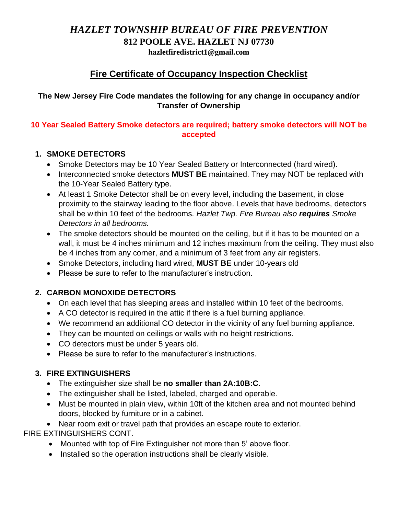## *HAZLET TOWNSHIP BUREAU OF FIRE PREVENTION* **812 POOLE AVE. HAZLET NJ 07730**

**hazletfiredistrict1@gmail.com**

# **Fire Certificate of Occupancy Inspection Checklist**

#### **The New Jersey Fire Code mandates the following for any change in occupancy and/or Transfer of Ownership**

#### **10 Year Sealed Battery Smoke detectors are required; battery smoke detectors will NOT be accepted**

#### **1. SMOKE DETECTORS**

- Smoke Detectors may be 10 Year Sealed Battery or Interconnected (hard wired).
- Interconnected smoke detectors **MUST BE** maintained. They may NOT be replaced with the 10-Year Sealed Battery type.
- At least 1 Smoke Detector shall be on every level, including the basement, in close proximity to the stairway leading to the floor above. Levels that have bedrooms, detectors shall be within 10 feet of the bedrooms. *Hazlet Twp. Fire Bureau also requires Smoke Detectors in all bedrooms.*
- The smoke detectors should be mounted on the ceiling, but if it has to be mounted on a wall, it must be 4 inches minimum and 12 inches maximum from the ceiling. They must also be 4 inches from any corner, and a minimum of 3 feet from any air registers.
- Smoke Detectors, including hard wired, **MUST BE** under 10-years old
- Please be sure to refer to the manufacturer's instruction.

### **2. CARBON MONOXIDE DETECTORS**

- On each level that has sleeping areas and installed within 10 feet of the bedrooms.
- A CO detector is required in the attic if there is a fuel burning appliance.
- We recommend an additional CO detector in the vicinity of any fuel burning appliance.
- They can be mounted on ceilings or walls with no height restrictions.
- CO detectors must be under 5 years old.
- Please be sure to refer to the manufacturer's instructions.

### **3. FIRE EXTINGUISHERS**

- The extinguisher size shall be **no smaller than 2A:10B:C**.
- The extinguisher shall be listed, labeled, charged and operable.
- Must be mounted in plain view, within 10ft of the kitchen area and not mounted behind doors, blocked by furniture or in a cabinet.

• Near room exit or travel path that provides an escape route to exterior.

FIRE EXTINGUISHERS CONT.

- Mounted with top of Fire Extinguisher not more than 5' above floor.
- Installed so the operation instructions shall be clearly visible.